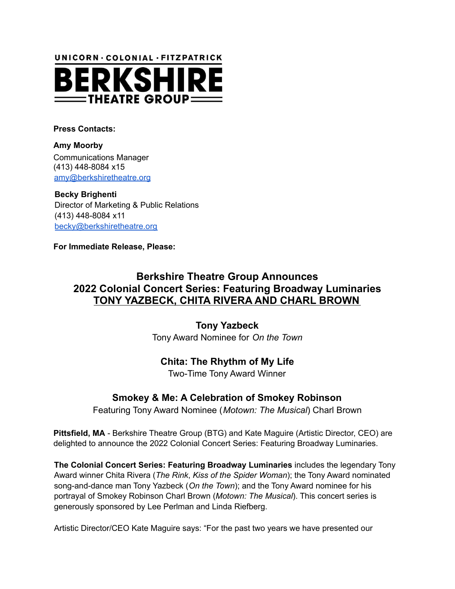UNICORN · COLONIAL · FITZPATRICK



**Press Contacts:**

**Amy Moorby** Communications Manager (413) 448-8084 x15 amy@berkshiretheatre.org

**Becky Brighenti** Director of Marketing & Public Relations (413) 448-8084 x11 becky@berkshiretheatre.org

**For Immediate Release, Please:**

# **Berkshire Theatre Group Announces 2022 Colonial Concert Series: Featuring Broadway Luminaries TONY YAZBECK, CHITA RIVERA AND CHARL BROWN**

**Tony Yazbeck**

Tony Award Nominee for *On the Town*

## **Chita: The Rhythm of My Life**

Two-Time Tony Award Winner

## **Smokey & Me: A Celebration of Smokey Robinson**

Featuring Tony Award Nominee (*Motown: The Musical*) Charl Brown

**Pittsfield, MA** - Berkshire Theatre Group (BTG) and Kate Maguire (Artistic Director, CEO) are delighted to announce the 2022 Colonial Concert Series: Featuring Broadway Luminaries.

**The Colonial Concert Series: Featuring Broadway Luminaries** includes the legendary Tony Award winner Chita Rivera (*The Rink*, *Kiss of the Spider Woman*); the Tony Award nominated song-and-dance man Tony Yazbeck (*On the Town*); and the Tony Award nominee for his portrayal of Smokey Robinson Charl Brown (*Motown: The Musical*). This concert series is generously sponsored by Lee Perlman and Linda Riefberg.

Artistic Director/CEO Kate Maguire says: "For the past two years we have presented our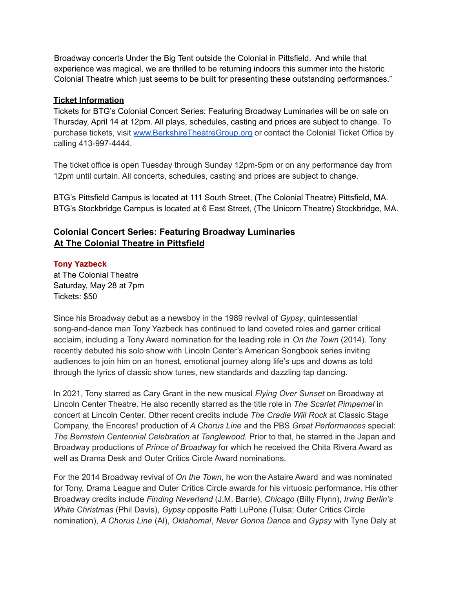Broadway concerts Under the Big Tent outside the Colonial in Pittsfield. And while that experience was magical, we are thrilled to be returning indoors this summer into the historic Colonial Theatre which just seems to be built for presenting these outstanding performances."

#### **Ticket Information**

Tickets for BTG's Colonial Concert Series: Featuring Broadway Luminaries will be on sale on Thursday, April 14 at 12pm. All plays, schedules, casting and prices are subject to change. To purchase tickets, visit [www.BerkshireTheatreGroup.org](http://www.berkshiretheatregroup.org/) or contact the Colonial Ticket Office by calling 413-997-4444.

The ticket office is open Tuesday through Sunday 12pm-5pm or on any performance day from 12pm until curtain. All concerts, schedules, casting and prices are subject to change.

BTG's Pittsfield Campus is located at 111 South Street, (The Colonial Theatre) Pittsfield, MA. BTG's Stockbridge Campus is located at 6 East Street, (The Unicorn Theatre) Stockbridge, MA.

### **Colonial Concert Series: Featuring Broadway Luminaries At The Colonial Theatre in Pittsfield**

#### **Tony Yazbeck**

at The Colonial Theatre Saturday, May 28 at 7pm Tickets: \$50

Since his Broadway debut as a newsboy in the 1989 revival of *Gypsy*, quintessential song-and-dance man Tony Yazbeck has continued to land coveted roles and garner critical acclaim, including a Tony Award nomination for the leading role in *On the Town* (2014). Tony recently debuted his solo show with Lincoln Center's American Songbook series inviting audiences to join him on an honest, emotional journey along life's ups and downs as told through the lyrics of classic show tunes, new standards and dazzling tap dancing.

In 2021, Tony starred as Cary Grant in the new musical *Flying Over Sunset* on Broadway at Lincoln Center Theatre. He also recently starred as the title role in *The Scarlet Pimpernel* in concert at Lincoln Center. Other recent credits include *The Cradle Will Rock* at Classic Stage Company, the Encores! production of *A Chorus Line* and the PBS *Great Performances* special: *The Bernstein Centennial Celebration at Tanglewood.* Prior to that, he starred in the Japan and Broadway productions of *Prince of Broadway* for which he received the Chita Rivera Award as well as Drama Desk and Outer Critics Circle Award nominations.

For the 2014 Broadway revival of *On the Town*, he won the Astaire Award and was nominated for Tony, Drama League and Outer Critics Circle awards for his virtuosic performance. His other Broadway credits include *Finding Neverland* (J.M. Barrie), *Chicago* (Billy Flynn), *Irving Berlin's White Christmas* (Phil Davis), *Gypsy* opposite Patti LuPone (Tulsa; Outer Critics Circle nomination), *A Chorus Line* (Al), *Oklahoma!*, *Never Gonna Dance* and *Gypsy* with Tyne Daly at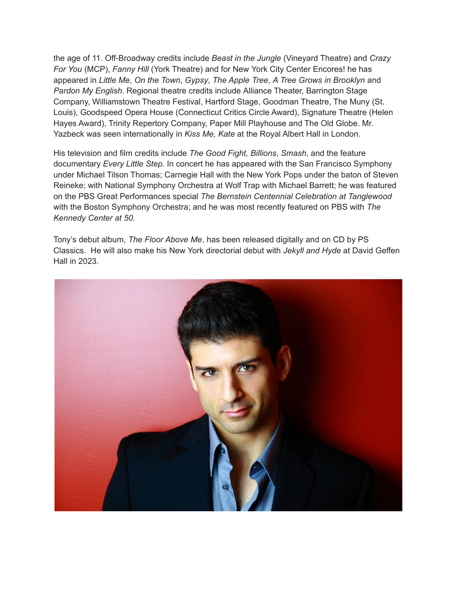the age of 11. Off-Broadway credits include *Beast in the Jungle* (Vineyard Theatre) and *Crazy For You* (MCP), *Fanny Hill* (York Theatre) and for New York City Center Encores! he has appeared in *Little Me*, *On the Town*, *Gypsy*, *The Apple Tree*, *A Tree Grows in Brooklyn* and *Pardon My English*. Regional theatre credits include Alliance Theater, Barrington Stage Company, Williamstown Theatre Festival, Hartford Stage, Goodman Theatre, The Muny (St. Louis), Goodspeed Opera House (Connecticut Critics Circle Award), Signature Theatre (Helen Hayes Award), Trinity Repertory Company, Paper Mill Playhouse and The Old Globe. Mr. Yazbeck was seen internationally in *Kiss Me, Kate* at the Royal Albert Hall in London.

His television and film credits include *The Good Fight, Billions*, *Smash*, and the feature documentary *Every Little Step*. In concert he has appeared with the San Francisco Symphony under Michael Tilson Thomas; Carnegie Hall with the New York Pops under the baton of Steven Reineke; with National Symphony Orchestra at Wolf Trap with Michael Barrett; he was featured on the PBS Great Performances special *The Bernstein Centennial Celebration at Tanglewood* with the Boston Symphony Orchestra; and he was most recently featured on PBS with *The Kennedy Center at 50.*

Tony's debut album, *The Floor Above Me*, has been released digitally and on CD by PS Classics. He will also make his New York directorial debut with *Jekyll and Hyde* at David Geffen Hall in 2023.

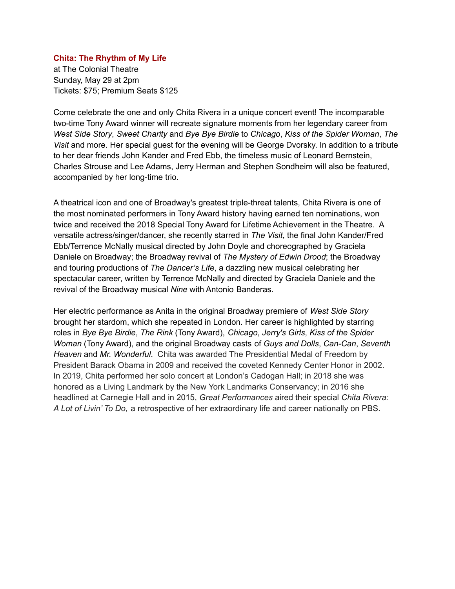#### **Chita: The Rhythm of My Life**

at The Colonial Theatre Sunday, May 29 at 2pm Tickets: \$75; Premium Seats \$125

Come celebrate the one and only Chita Rivera in a unique concert event! The incomparable two-time Tony Award winner will recreate signature moments from her legendary career from *West Side Story*, *Sweet Charity* and *Bye Bye Birdie* to *Chicago*, *Kiss of the Spider Woman*, *The Visit* and more. Her special guest for the evening will be George Dvorsky. In addition to a tribute to her dear friends John Kander and Fred Ebb, the timeless music of Leonard Bernstein, Charles Strouse and Lee Adams, Jerry Herman and Stephen Sondheim will also be featured, accompanied by her long-time trio.

A theatrical icon and one of Broadway's greatest triple-threat talents, Chita Rivera is one of the most nominated performers in Tony Award history having earned ten nominations, won twice and received the 2018 Special Tony Award for Lifetime Achievement in the Theatre. A versatile actress/singer/dancer, she recently starred in *The Visit*, the final John Kander/Fred Ebb/Terrence McNally musical directed by John Doyle and choreographed by Graciela Daniele on Broadway; the Broadway revival of *The Mystery of Edwin Drood*; the Broadway and touring productions of *The Dancer's Life*, a dazzling new musical celebrating her spectacular career, written by Terrence McNally and directed by Graciela Daniele and the revival of the Broadway musical *Nine* with Antonio Banderas.

Her electric performance as Anita in the original Broadway premiere of *West Side Story* brought her stardom, which she repeated in London. Her career is highlighted by starring roles in *Bye Bye Birdie*, *The Rink* (Tony Award), *Chicago*, *Jerry's Girls*, *Kiss of the Spider Woman* (Tony Award), and the original Broadway casts of *Guys and Dolls*, *Can-Can*, *Seventh Heaven* and *Mr. Wonderful*. Chita was awarded The Presidential Medal of Freedom by President Barack Obama in 2009 and received the coveted Kennedy Center Honor in 2002. In 2019, Chita performed her solo concert at London's Cadogan Hall; in 2018 she was honored as a Living Landmark by the New York Landmarks Conservancy; in 2016 she headlined at Carnegie Hall and in 2015, *Great Performances* aired their special *Chita Rivera: A Lot of Livin' To Do,* a retrospective of her extraordinary life and career nationally on PBS.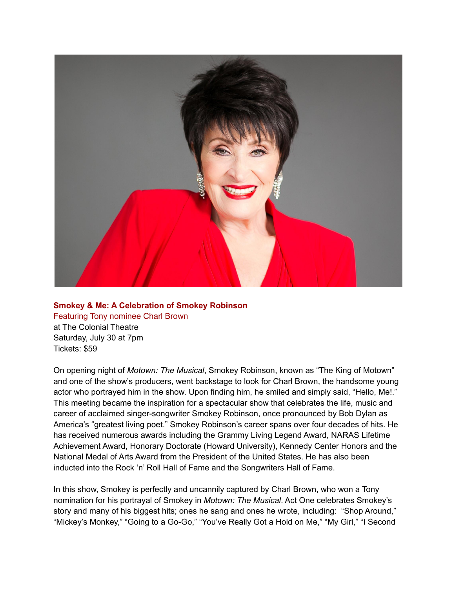

### **Smokey & Me: A Celebration of Smokey Robinson** Featuring Tony nominee Charl Brown

at The Colonial Theatre Saturday, July 30 at 7pm Tickets: \$59

On opening night of *Motown: The Musical*, Smokey Robinson, known as "The King of Motown" and one of the show's producers, went backstage to look for Charl Brown, the handsome young actor who portrayed him in the show. Upon finding him, he smiled and simply said, "Hello, Me!." This meeting became the inspiration for a spectacular show that celebrates the life, music and career of acclaimed singer-songwriter Smokey Robinson, once pronounced by Bob Dylan as America's "greatest living poet." Smokey Robinson's career spans over four decades of hits. He has received numerous awards including the Grammy Living Legend Award, NARAS Lifetime Achievement Award, Honorary Doctorate (Howard University), Kennedy Center Honors and the National Medal of Arts Award from the President of the United States. He has also been inducted into the Rock 'n' Roll Hall of Fame and the Songwriters Hall of Fame.

In this show, Smokey is perfectly and uncannily captured by Charl Brown, who won a Tony nomination for his portrayal of Smokey in *Motown: The Musical*. Act One celebrates Smokey's story and many of his biggest hits; ones he sang and ones he wrote, including: "Shop Around," "Mickey's Monkey," "Going to a Go-Go," "You've Really Got a Hold on Me," "My Girl," "I Second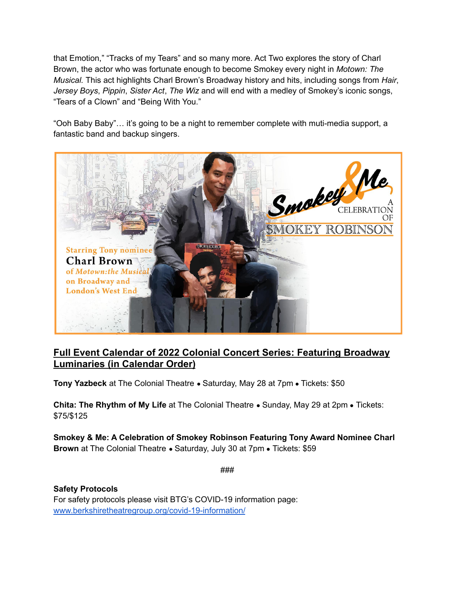that Emotion," "Tracks of my Tears" and so many more. Act Two explores the story of Charl Brown, the actor who was fortunate enough to become Smokey every night in *Motown: The Musical.* This act highlights Charl Brown's Broadway history and hits, including songs from *Hair*, *Jersey Boys*, *Pippin*, *Sister Act*, *The Wiz* and will end with a medley of Smokey's iconic songs, "Tears of a Clown" and "Being With You."

"Ooh Baby Baby"… it's going to be a night to remember complete with muti-media support, a fantastic band and backup singers.



# **Full Event Calendar of 2022 Colonial Concert Series: Featuring Broadway Luminaries (in Calendar Order)**

**Tony Yazbeck** at The Colonial Theatre ● Saturday, May 28 at 7pm ● Tickets: \$50

**Chita: The Rhythm of My Life** at The Colonial Theatre ● Sunday, May 29 at 2pm ● Tickets: \$75/\$125

**Smokey & Me: A Celebration of Smokey Robinson Featuring Tony Award Nominee Charl Brown** at The Colonial Theatre • Saturday, July 30 at 7pm • Tickets: \$59

###

**Safety Protocols** For safety protocols please visit BTG's COVID-19 information page: [www.berkshiretheatregroup.org/covid-19-information/](https://www.berkshiretheatregroup.org/covid-19-information/)